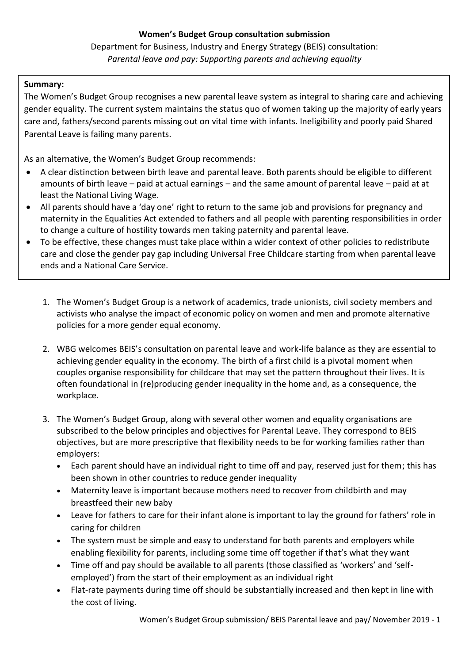# Department for Business, Industry and Energy Strategy (BEIS) consultation: *Parental leave and pay: Supporting parents and achieving equality*

### **Summary:**

The Women's Budget Group recognises a new parental leave system as integral to sharing care and achieving gender equality. The current system maintains the status quo of women taking up the majority of early years care and, fathers/second parents missing out on vital time with infants. Ineligibility and poorly paid Shared Parental Leave is failing many parents.

As an alternative, the Women's Budget Group recommends:

- A clear distinction between birth leave and parental leave. Both parents should be eligible to different amounts of birth leave – paid at actual earnings – and the same amount of parental leave – paid at at least the National Living Wage.
- All parents should have a 'day one' right to return to the same job and provisions for pregnancy and maternity in the Equalities Act extended to fathers and all people with parenting responsibilities in order to change a culture of hostility towards men taking paternity and parental leave.
- To be effective, these changes must take place within a wider context of other policies to redistribute care and close the gender pay gap including Universal Free Childcare starting from when parental leave ends and a National Care Service.
	- 1. The Women's Budget Group is a network of academics, trade unionists, civil society members and activists who analyse the impact of economic policy on women and men and promote alternative policies for a more gender equal economy.
	- 2. WBG welcomes BEIS's consultation on parental leave and work-life balance as they are essential to achieving gender equality in the economy. The birth of a first child is a pivotal moment when couples organise responsibility for childcare that may set the pattern throughout their lives. It is often foundational in (re)producing gender inequality in the home and, as a consequence, the workplace.
	- 3. The Women's Budget Group, along with several other women and equality organisations are subscribed to the below principles and objectives for Parental Leave. They correspond to BEIS objectives, but are more prescriptive that flexibility needs to be for working families rather than employers:
		- Each parent should have an individual right to time off and pay, reserved just for them; this has been shown in other countries to reduce gender inequality
		- Maternity leave is important because mothers need to recover from childbirth and may breastfeed their new baby
		- Leave for fathers to care for their infant alone is important to lay the ground for fathers' role in caring for children
		- The system must be simple and easy to understand for both parents and employers while enabling flexibility for parents, including some time off together if that's what they want
		- Time off and pay should be available to all parents (those classified as 'workers' and 'selfemployed') from the start of their employment as an individual right
		- Flat-rate payments during time off should be substantially increased and then kept in line with the cost of living.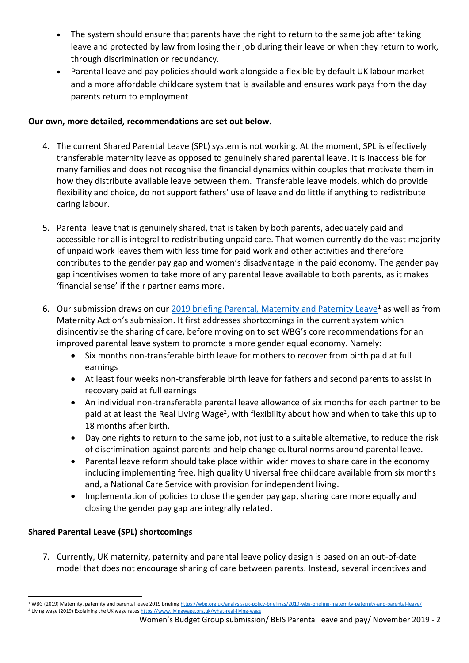- The system should ensure that parents have the right to return to the same job after taking leave and protected by law from losing their job during their leave or when they return to work, through discrimination or redundancy.
- Parental leave and pay policies should work alongside a flexible by default UK labour market and a more affordable childcare system that is available and ensures work pays from the day parents return to employment

## **Our own, more detailed, recommendations are set out below.**

- 4. The current Shared Parental Leave (SPL) system is not working. At the moment, SPL is effectively transferable maternity leave as opposed to genuinely shared parental leave. It is inaccessible for many families and does not recognise the financial dynamics within couples that motivate them in how they distribute available leave between them. Transferable leave models, which do provide flexibility and choice, do not support fathers' use of leave and do little if anything to redistribute caring labour.
- 5. Parental leave that is genuinely shared, that is taken by both parents, adequately paid and accessible for all is integral to redistributing unpaid care. That women currently do the vast majority of unpaid work leaves them with less time for paid work and other activities and therefore contributes to the gender pay gap and women's disadvantage in the paid economy. The gender pay gap incentivises women to take more of any parental leave available to both parents, as it makes 'financial sense' if their partner earns more.
- 6. Our submission draws on our [2019 briefing Parental, Maternity and Paternity Leave](https://wbg.org.uk/analysis/uk-policy-briefings/2019-wbg-briefing-maternity-paternity-and-parental-leave/)<sup>1</sup> as well as from Maternity Action's submission. It first addresses shortcomings in the current system which disincentivise the sharing of care, before moving on to set WBG's core recommendations for an improved parental leave system to promote a more gender equal economy. Namely:
	- Six months non-transferable birth leave for mothers to recover from birth paid at full earnings
	- At least four weeks non-transferable birth leave for fathers and second parents to assist in recovery paid at full earnings
	- An individual non-transferable parental leave allowance of six months for each partner to be paid at at least the Real Living Wage<sup>2</sup>, with flexibility about how and when to take this up to 18 months after birth.
	- Day one rights to return to the same job, not just to a suitable alternative, to reduce the risk of discrimination against parents and help change cultural norms around parental leave.
	- Parental leave reform should take place within wider moves to share care in the economy including implementing free, high quality Universal free childcare available from six months and, a National Care Service with provision for independent living.
	- Implementation of policies to close the gender pay gap, sharing care more equally and closing the gender pay gap are integrally related.

## **Shared Parental Leave (SPL) shortcomings**

7. Currently, UK maternity, paternity and parental leave policy design is based on an out-of-date model that does not encourage sharing of care between parents. Instead, several incentives and

<sup>1</sup> WBG (2019) Maternity, paternity and parental leave 2019 briefin[g https://wbg.org.uk/analysis/uk-policy-briefings/2019-wbg-briefing-maternity-paternity-and-parental-leave/](https://wbg.org.uk/analysis/uk-policy-briefings/2019-wbg-briefing-maternity-paternity-and-parental-leave/) <sup>2</sup> Living wage (2019) Explaining the UK wage rate[s https://www.livingwage.org.uk/what-real-living-wage](https://www.livingwage.org.uk/what-real-living-wage)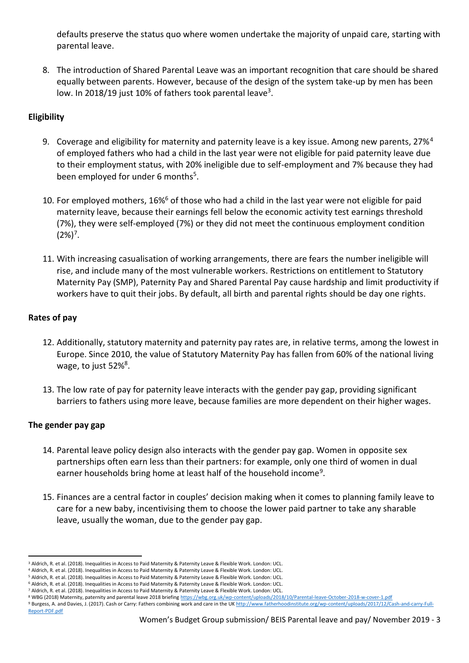defaults preserve the status quo where women undertake the majority of unpaid care, starting with parental leave.

8. The introduction of Shared Parental Leave was an important recognition that care should be shared equally between parents. However, because of the design of the system take-up by men has been low. In 2018/19 just 10% of fathers took parental leave<sup>3</sup>.

## **Eligibility**

- 9. Coverage and eligibility for maternity and paternity leave is a key issue. Among new parents, 27%<sup>4</sup> of employed fathers who had a child in the last year were not eligible for paid paternity leave due to their employment status, with 20% ineligible due to self-employment and 7% because they had been employed for under 6 months<sup>5</sup>.
- 10. For employed mothers, 16%<sup>6</sup> of those who had a child in the last year were not eligible for paid maternity leave, because their earnings fell below the economic activity test earnings threshold (7%), they were self-employed (7%) or they did not meet the continuous employment condition  $(2\%)^7$ .
- 11. With increasing casualisation of working arrangements, there are fears the number ineligible will rise, and include many of the most vulnerable workers. Restrictions on entitlement to Statutory Maternity Pay (SMP), Paternity Pay and Shared Parental Pay cause hardship and limit productivity if workers have to quit their jobs. By default, all birth and parental rights should be day one rights.

## **Rates of pay**

- 12. Additionally, statutory maternity and paternity pay rates are, in relative terms, among the lowest in Europe. Since 2010, the value of Statutory Maternity Pay has fallen from 60% of the national living wage, to just 52%<sup>8</sup>.
- 13. The low rate of pay for paternity leave interacts with the gender pay gap, providing significant barriers to fathers using more leave, because families are more dependent on their higher wages.

### **The gender pay gap**

- 14. Parental leave policy design also interacts with the gender pay gap. Women in opposite sex partnerships often earn less than their partners: for example, only one third of women in dual earner households bring home at least half of the household income<sup>9</sup>.
- 15. Finances are a central factor in couples' decision making when it comes to planning family leave to care for a new baby, incentivising them to choose the lower paid partner to take any sharable leave, usually the woman, due to the gender pay gap.

<sup>3</sup> Aldrich, R. et al. (2018). Inequalities in Access to Paid Maternity & Paternity Leave & Flexible Work. London: UCL.

<sup>4</sup> Aldrich, R. et al. (2018). Inequalities in Access to Paid Maternity & Paternity Leave & Flexible Work. London: UCL.

<sup>5</sup> Aldrich, R. et al. (2018). Inequalities in Access to Paid Maternity & Paternity Leave & Flexible Work. London: UCL.

<sup>6</sup> Aldrich, R. et al. (2018). Inequalities in Access to Paid Maternity & Paternity Leave & Flexible Work. London: UCL.

<sup>7</sup> Aldrich, R. et al. (2018). Inequalities in Access to Paid Maternity & Paternity Leave & Flexible Work. London: UCL.

<sup>8</sup> WBG (2018) Maternity, paternity and parental leave 2018 briefin[g https://wbg.org.uk/wp-content/uploads/2018/10/Parental-leave-October-2018-w-cover-1.pdf](https://wbg.org.uk/wp-content/uploads/2018/10/Parental-leave-October-2018-w-cover-1.pdf) 9 Burgess, A. and Davies, J. (2017). Cash or Carry: Fathers combining work and care in the U[K http://www.fatherhoodinstitute.org/wp-content/uploads/2017/12/Cash-and-carry-Full-](http://www.fatherhoodinstitute.org/wp-content/uploads/2017/12/Cash-and-carry-Full-Report-PDF.pdf)

[Report-PDF.pdf](http://www.fatherhoodinstitute.org/wp-content/uploads/2017/12/Cash-and-carry-Full-Report-PDF.pdf)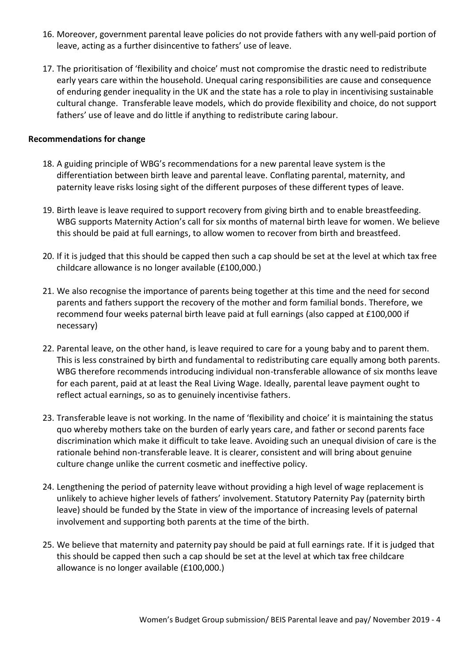- 16. Moreover, government parental leave policies do not provide fathers with any well-paid portion of leave, acting as a further disincentive to fathers' use of leave.
- 17. The prioritisation of 'flexibility and choice' must not compromise the drastic need to redistribute early years care within the household. Unequal caring responsibilities are cause and consequence of enduring gender inequality in the UK and the state has a role to play in incentivising sustainable cultural change. Transferable leave models, which do provide flexibility and choice, do not support fathers' use of leave and do little if anything to redistribute caring labour.

#### **Recommendations for change**

- 18. A guiding principle of WBG's recommendations for a new parental leave system is the differentiation between birth leave and parental leave. Conflating parental, maternity, and paternity leave risks losing sight of the different purposes of these different types of leave.
- 19. Birth leave is leave required to support recovery from giving birth and to enable breastfeeding. WBG supports Maternity Action's call for six months of maternal birth leave for women. We believe this should be paid at full earnings, to allow women to recover from birth and breastfeed.
- 20. If it is judged that this should be capped then such a cap should be set at the level at which tax free childcare allowance is no longer available (£100,000.)
- 21. We also recognise the importance of parents being together at this time and the need for second parents and fathers support the recovery of the mother and form familial bonds. Therefore, we recommend four weeks paternal birth leave paid at full earnings (also capped at £100,000 if necessary)
- 22. Parental leave, on the other hand, is leave required to care for a young baby and to parent them. This is less constrained by birth and fundamental to redistributing care equally among both parents. WBG therefore recommends introducing individual non-transferable allowance of six months leave for each parent, paid at at least the Real Living Wage. Ideally, parental leave payment ought to reflect actual earnings, so as to genuinely incentivise fathers.
- 23. Transferable leave is not working. In the name of 'flexibility and choice' it is maintaining the status quo whereby mothers take on the burden of early years care, and father or second parents face discrimination which make it difficult to take leave. Avoiding such an unequal division of care is the rationale behind non-transferable leave. It is clearer, consistent and will bring about genuine culture change unlike the current cosmetic and ineffective policy.
- 24. Lengthening the period of paternity leave without providing a high level of wage replacement is unlikely to achieve higher levels of fathers' involvement. Statutory Paternity Pay (paternity birth leave) should be funded by the State in view of the importance of increasing levels of paternal involvement and supporting both parents at the time of the birth.
- 25. We believe that maternity and paternity pay should be paid at full earnings rate. If it is judged that this should be capped then such a cap should be set at the level at which tax free childcare allowance is no longer available (£100,000.)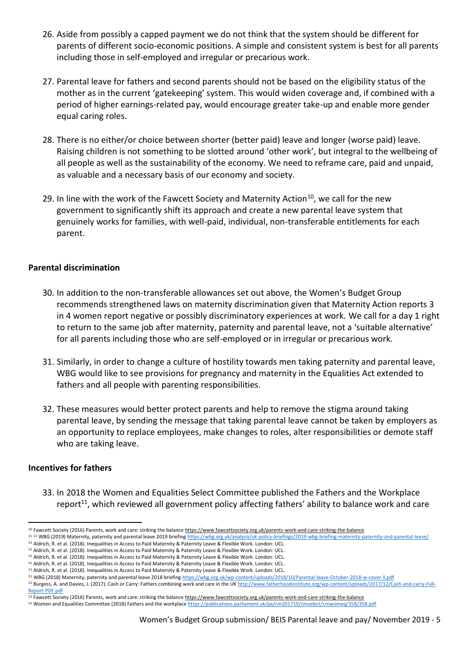- 26. Aside from possibly a capped payment we do not think that the system should be different for parents of different socio-economic positions. A simple and consistent system is best for all parents including those in self-employed and irregular or precarious work.
- 27. Parental leave for fathers and second parents should not be based on the eligibility status of the mother as in the current 'gatekeeping' system. This would widen coverage and, if combined with a period of higher earnings-related pay, would encourage greater take-up and enable more gender equal caring roles.
- 28. There is no either/or choice between shorter (better paid) leave and longer (worse paid) leave. Raising children is not something to be slotted around 'other work', but integral to the wellbeing of all people as well as the sustainability of the economy. We need to reframe care, paid and unpaid, as valuable and a necessary basis of our economy and society.
- 29. In line with the work of the Fawcett Society and Maternity Action<sup>10</sup>, we call for the new government to significantly shift its approach and create a new parental leave system that genuinely works for families, with well-paid, individual, non-transferable entitlements for each parent.

#### **Parental discrimination**

- 30. In addition to the non-transferable allowances set out above, the Women's Budget Group recommends strengthened laws on maternity discrimination given that Maternity Action reports 3 in 4 women report negative or possibly discriminatory experiences at work. We call for a day 1 right to return to the same job after maternity, paternity and parental leave, not a 'suitable alternative' for all parents including those who are self-employed or in irregular or precarious work.
- 31. Similarly, in order to change a culture of hostility towards men taking paternity and parental leave, WBG would like to see provisions for pregnancy and maternity in the Equalities Act extended to fathers and all people with parenting responsibilities.
- 32. These measures would better protect parents and help to remove the stigma around taking parental leave, by sending the message that taking parental leave cannot be taken by employers as an opportunity to replace employees, make changes to roles, alter responsibilities or demote staff who are taking leave.

#### **Incentives for fathers**

33. In 2018 the Women and Equalities Select Committee published the Fathers and the Workplace report<sup>11</sup>, which reviewed all government policy affecting fathers' ability to balance work and care

<sup>&</sup>lt;sup>10</sup> Fawcett Society (2016) Parents, work and care: striking the balanc[e https://www.fawcettsociety.org.uk/parents-work-and-care-striking-the-balance](https://www.fawcettsociety.org.uk/parents-work-and-care-striking-the-balance)

<sup>11 11</sup> WBG (2019) Maternity, paternity and parental leave 2019 briefin[g https://wbg.org.uk/analysis/uk-policy-briefings/2019-wbg-briefing-maternity-paternity-and-parental-leave/](https://wbg.org.uk/analysis/uk-policy-briefings/2019-wbg-briefing-maternity-paternity-and-parental-leave/)

<sup>&</sup>lt;sup>11</sup> Aldrich, R. et al. (2018). Inequalities in Access to Paid Maternity & Paternity Leave & Flexible Work. London: UCL.

<sup>11</sup> Aldrich, R. et al. (2018). Inequalities in Access to Paid Maternity & Paternity Leave & Flexible Work. London: UCL. <sup>11</sup> Aldrich, R. et al. (2018). Inequalities in Access to Paid Maternity & Paternity Leave & Flexible Work. London: UCL.

<sup>11</sup> Aldrich, R. et al. (2018). Inequalities in Access to Paid Maternity & Paternity Leave & Flexible Work. London: UCL.

<sup>11</sup> Aldrich, R. et al. (2018). Inequalities in Access to Paid Maternity & Paternity Leave & Flexible Work. London: UCL.

<sup>11</sup> WBG (2018) Maternity, paternity and parental leave 2018 briefin[g https://wbg.org.uk/wp-content/uploads/2018/10/Parental-leave-October-2018-w-cover-1.pdf](https://wbg.org.uk/wp-content/uploads/2018/10/Parental-leave-October-2018-w-cover-1.pdf)

<sup>&</sup>lt;sup>11</sup> Burgess, A. and Davies, J. (2017). Cash or Carry: Fathers combining work and care in the U[K http://www.fatherhoodinstitute.org/wp-content/uploads/2017/12/Cash-and-carry-Full-](http://www.fatherhoodinstitute.org/wp-content/uploads/2017/12/Cash-and-carry-Full-Report-PDF.pdf)[Report-PDF.pdf](http://www.fatherhoodinstitute.org/wp-content/uploads/2017/12/Cash-and-carry-Full-Report-PDF.pdf)

<sup>11</sup> Fawcett Society (2016) Parents, work and care: striking the balanc[e https://www.fawcettsociety.org.uk/parents-work-and-care-striking-the-balance](https://www.fawcettsociety.org.uk/parents-work-and-care-striking-the-balance) <sup>11</sup> Women and Equalities Committee (2018) Fathers and the workplac[e https://publications.parliament.uk/pa/cm201719/cmselect/cmwomeq/358/358.pdf](https://publications.parliament.uk/pa/cm201719/cmselect/cmwomeq/358/358.pdf)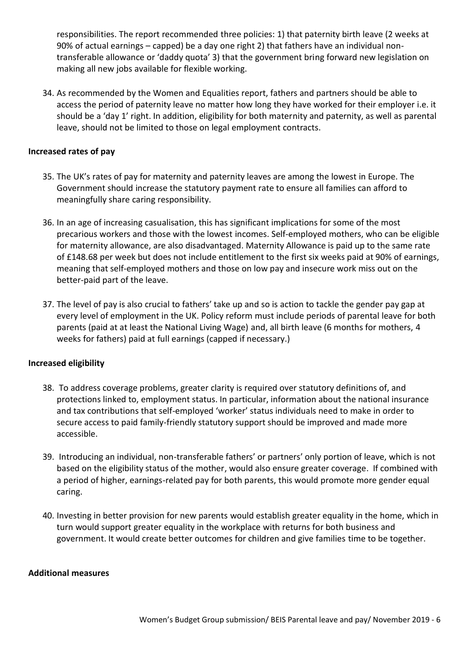responsibilities. The report recommended three policies: 1) that paternity birth leave (2 weeks at 90% of actual earnings – capped) be a day one right 2) that fathers have an individual nontransferable allowance or 'daddy quota' 3) that the government bring forward new legislation on making all new jobs available for flexible working.

34. As recommended by the Women and Equalities report, fathers and partners should be able to access the period of paternity leave no matter how long they have worked for their employer i.e. it should be a 'day 1' right. In addition, eligibility for both maternity and paternity, as well as parental leave, should not be limited to those on legal employment contracts.

#### **Increased rates of pay**

- 35. The UK's rates of pay for maternity and paternity leaves are among the lowest in Europe. The Government should increase the statutory payment rate to ensure all families can afford to meaningfully share caring responsibility.
- 36. In an age of increasing casualisation, this has significant implications for some of the most precarious workers and those with the lowest incomes. Self-employed mothers, who can be eligible for maternity allowance, are also disadvantaged. Maternity Allowance is paid up to the same rate of £148.68 per week but does not include entitlement to the first six weeks paid at 90% of earnings, meaning that self-employed mothers and those on low pay and insecure work miss out on the better-paid part of the leave.
- 37. The level of pay is also crucial to fathers' take up and so is action to tackle the gender pay gap at every level of employment in the UK. Policy reform must include periods of parental leave for both parents (paid at at least the National Living Wage) and, all birth leave (6 months for mothers, 4 weeks for fathers) paid at full earnings (capped if necessary.)

#### **Increased eligibility**

- 38. To address coverage problems, greater clarity is required over statutory definitions of, and protections linked to, employment status. In particular, information about the national insurance and tax contributions that self-employed 'worker' status individuals need to make in order to secure access to paid family-friendly statutory support should be improved and made more accessible.
- 39. Introducing an individual, non-transferable fathers' or partners' only portion of leave, which is not based on the eligibility status of the mother, would also ensure greater coverage. If combined with a period of higher, earnings-related pay for both parents, this would promote more gender equal caring.
- 40. Investing in better provision for new parents would establish greater equality in the home, which in turn would support greater equality in the workplace with returns for both business and government. It would create better outcomes for children and give families time to be together.

#### **Additional measures**